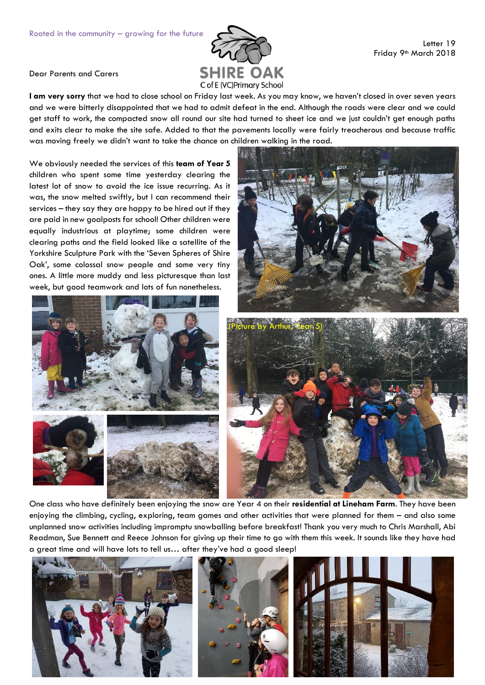

Dear Parents and Carers

**I am very sorry** that we had to close school on Friday last week. As you may know, we haven't closed in over seven years and we were bitterly disappointed that we had to admit defeat in the end. Although the roads were clear and we could get staff to work, the compacted snow all round our site had turned to sheet ice and we just couldn't get enough paths and exits clear to make the site safe. Added to that the pavements locally were fairly treacherous and because traffic was moving freely we didn't want to take the chance on children walking in the road.

We obviously needed the services of this **team of Year 5** children who spent some time yesterday clearing the latest lot of snow to avoid the ice issue recurring. As it was, the snow melted swiftly, but I can recommend their services – they say they are happy to be hired out if they are paid in new goalposts for school! Other children were equally industrious at playtime; some children were clearing paths and the field looked like a satellite of the Yorkshire Sculpture Park with the 'Seven Spheres of Shire Oak', some colossal snow people and some very tiny ones. A little more muddy and less picturesque than last week, but good teamwork and lots of fun nonetheless.







One class who have definitely been enjoying the snow are Year 4 on their **residential at Lineham Farm**. They have been enjoying the climbing, cycling, exploring, team games and other activities that were planned for them – and also some unplanned snow activities including impromptu snowballing before breakfast! Thank you very much to Chris Marshall, Abi Readman, Sue Bennett and Reece Johnson for giving up their time to go with them this week. It sounds like they have had a great time and will have lots to tell us… after they've had a good sleep!





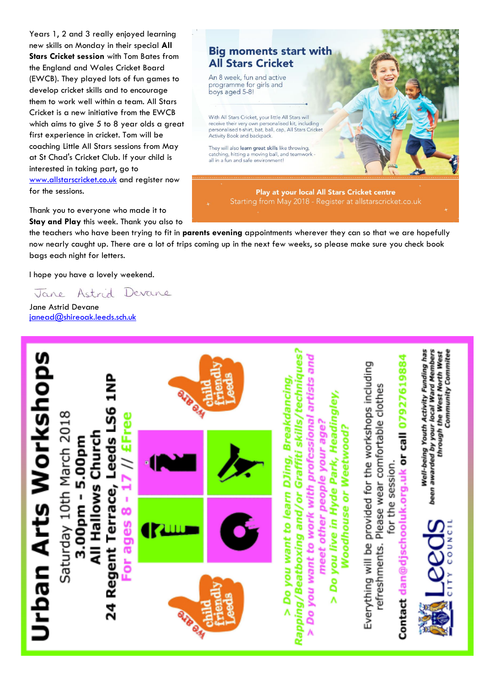Years 1, 2 and 3 really enjoyed learning new skills on Monday in their special **All Stars Cricket session** with Tom Bates from the England and Wales Cricket Board (EWCB). They played lots of fun games to develop cricket skills and to encourage them to work well within a team. All Stars Cricket is a new initiative from the EWCB which aims to give 5 to 8 year olds a great first experience in cricket. Tom will be coaching Little All Stars sessions from May at St Chad's Cricket Club. If your child is interested in taking part, go to [www.allstarscricket.co.uk](http://www.allstarscricket.co.uk/) and register now for the sessions.

## **Big moments start with All Stars Cricket**

An 8 week, fun and active programme for girls and boys aged 5-8!

With All Stars Cricket, your little All Stars will receive their very own personalised kit, including<br>personalised t-shirt, bat, ball, cap, All Stars Cricket Activity Book and backpack

They will also learn great skills like throwing, catching, hitting a moving ball, and teamwork<br>all in a fun and safe environment!

> Play at your local All Stars Cricket centre Starting from May 2018 - Register at allstarscricket.co.uk

Thank you to everyone who made it to **Stay and Play** this week. Thank you also to

the teachers who have been trying to fit in **parents evening** appointments wherever they can so that we are hopefully now nearly caught up. There are a lot of trips coming up in the next few weeks, so please make sure you check book bags each night for letters.

I hope you have a lovely weekend.

Jane Astrid Devane

Jane Astrid Devane [janead@shireoak.leeds.sch.uk](mailto:janead@shireoak.leeds.sch.uk)